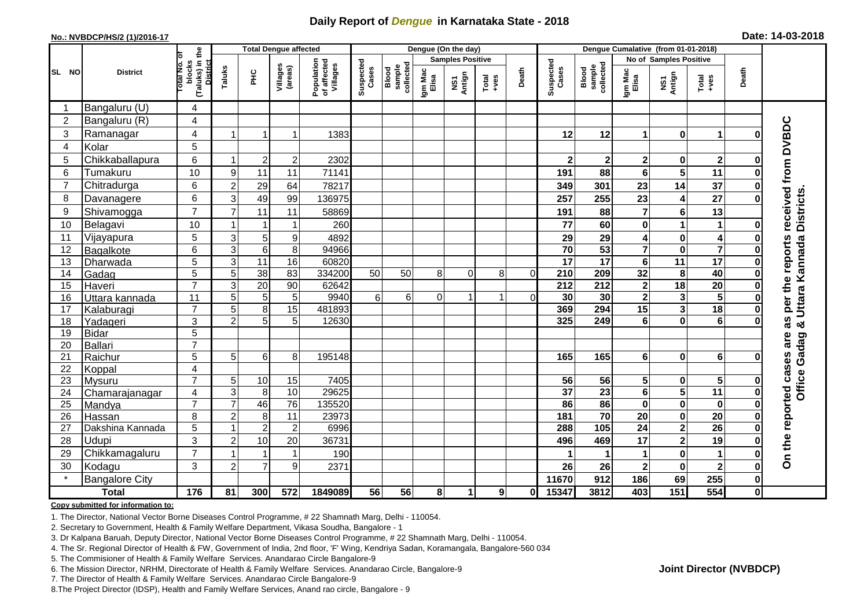## **Daily Report of** *Dengue* **in Karnataka State - 2018**

#### **No.: NVBDCP/HS/2 (1)/2016-17**

| Date: 14-03-2018 |  |  |  |  |
|------------------|--|--|--|--|
|------------------|--|--|--|--|

|                 | <b>District</b>                  |                                                           | <b>Total Dengue affected</b> |                         |                                    |                                       | Dengue (On the day) |                             |                  |                         |                                                              |          | Dengue Cumalative (from 01-01-2018) |                              |                             |                         |                         |              |                          |
|-----------------|----------------------------------|-----------------------------------------------------------|------------------------------|-------------------------|------------------------------------|---------------------------------------|---------------------|-----------------------------|------------------|-------------------------|--------------------------------------------------------------|----------|-------------------------------------|------------------------------|-----------------------------|-------------------------|-------------------------|--------------|--------------------------|
|                 |                                  | łб                                                        |                              |                         |                                    |                                       |                     |                             |                  | <b>Samples Positive</b> |                                                              |          |                                     |                              |                             | No of Samples Positive  |                         |              |                          |
| SL<br><b>NO</b> |                                  | (Taluks) in the<br>blocks<br><b>District</b><br>Total No. | Taluks                       | ΞÉ                      | Villages<br>(areas)                | Population<br>of affected<br>Villages | Suspected<br>Cases  | Blood<br>sample<br>collecte | Igm Mac<br>Elisa | NS1<br>Antign           | $\begin{array}{c}\n\text{Total} \\ \text{Area}\n\end{array}$ | Death    | Suspected<br>Cases                  | Blood<br>sample<br>collected | Igm Mac<br>Elisa            | NS1<br>Antign           | Total<br>+ves           | Death        |                          |
|                 | Bangaluru (U)                    | 4                                                         |                              |                         |                                    |                                       |                     |                             |                  |                         |                                                              |          |                                     |                              |                             |                         |                         |              |                          |
| $\overline{2}$  | Bangaluru (R)                    | 4                                                         |                              |                         |                                    |                                       |                     |                             |                  |                         |                                                              |          |                                     |                              |                             |                         |                         |              |                          |
| $\mathbf{3}$    | Ramanagar                        | 4                                                         |                              | $\overline{\mathbf{1}}$ | 1                                  | 1383                                  |                     |                             |                  |                         |                                                              |          | 12                                  | 12                           | 1                           | $\mathbf 0$             | 1                       |              | received from DVBDC      |
| $\overline{4}$  | Kolar                            | 5                                                         |                              |                         |                                    |                                       |                     |                             |                  |                         |                                                              |          |                                     |                              |                             |                         |                         |              |                          |
| 5               | Chikkaballapura                  | 6                                                         |                              | $\overline{c}$          | $\overline{c}$                     | 2302                                  |                     |                             |                  |                         |                                                              |          | $\mathbf 2$                         | $\overline{\mathbf{2}}$      | $\overline{2}$              | $\bf{0}$                | $\mathbf{2}$            |              |                          |
| 6               | Tumakuru                         | 10                                                        | 9                            | 11                      | 11                                 | 71141                                 |                     |                             |                  |                         |                                                              |          | 191                                 | 88                           | 6                           | 5                       | 11                      |              |                          |
| $\overline{7}$  | Chitradurga                      | 6                                                         | $\overline{c}$               | 29                      | 64                                 | 78217                                 |                     |                             |                  |                         |                                                              |          | 349                                 | 301                          | 23                          | 14                      | 37                      |              |                          |
| 8               | Davanagere                       | 6                                                         | 3                            | 49                      | 99                                 | 136975                                |                     |                             |                  |                         |                                                              |          | 257                                 | 255                          | 23                          | 4                       | $\overline{27}$         |              |                          |
| 9               | Shivamogga                       | $\overline{7}$                                            | 7                            | 11                      | 11                                 | 58869                                 |                     |                             |                  |                         |                                                              |          | 191                                 | 88                           | $\overline{7}$              | 6                       | 13                      |              | Uttara Kannada Districts |
| 10              | Belagavi                         | 10                                                        |                              | -1                      | 1                                  | 260                                   |                     |                             |                  |                         |                                                              |          | 77                                  | 60                           | $\mathbf 0$                 | 1                       | 1                       |              |                          |
| 11              | Vijayapura                       | 5                                                         | 3                            | $5\phantom{.0}$         | 9                                  | 4892                                  |                     |                             |                  |                         |                                                              |          | 29                                  | 29                           | 4                           | $\bf{0}$                | 4                       |              |                          |
| 12              | Bagalkote                        | 6                                                         | 3                            | $\,6\,$                 | 8                                  | 94966                                 |                     |                             |                  |                         |                                                              |          | $\overline{70}$                     | 53                           | $\overline{\mathbf{7}}$     | $\mathbf 0$             | $\overline{\mathbf{z}}$ |              |                          |
| 13              | Dharwada                         | $\overline{5}$                                            | 3                            | 11                      | $\overline{16}$                    | 60820                                 |                     |                             |                  |                         |                                                              |          | $\overline{17}$                     | $\overline{17}$              | $6\phantom{1}6$             | 11                      | $\overline{17}$         |              | per the reports          |
| 14              | Gadag                            | 5                                                         | 5                            | 38                      | 83                                 | 334200                                | 50                  | 50                          | 8                | $\Omega$                | 8                                                            | $\Omega$ | 210                                 | 209                          | 32                          | 8                       | 40                      |              |                          |
| 15              | Haveri                           | $\overline{7}$                                            | 3                            | 20                      | 90                                 | 62642                                 |                     |                             |                  |                         |                                                              |          | 212                                 | 212                          | $\overline{\mathbf{2}}$     | $\overline{18}$         | $\overline{20}$         |              |                          |
| 16              | Uttara kannada                   | $\overline{11}$                                           | 5                            | 5                       | 5                                  | 9940                                  | 6                   | 6                           | $\overline{0}$   | 1                       | $\mathbf{1}$                                                 | $\Omega$ | 30                                  | $\overline{30}$              | $\overline{2}$              | $\mathbf{3}$            | 5                       |              |                          |
| 17              | Kalaburagi                       | $\overline{7}$                                            | 5                            | 8                       | 15                                 | 481893                                |                     |                             |                  |                         |                                                              |          | 369                                 | 294                          | $\overline{15}$             | $\mathbf{3}$            | $\overline{18}$         |              |                          |
| 18              | Yadageri                         | 3                                                         | $\overline{2}$               | 5                       | 5                                  | 12630                                 |                     |                             |                  |                         |                                                              |          | 325                                 | 249                          | 6                           | $\mathbf 0$             | 6                       |              | as<br>×                  |
| 19              | Bidar                            | 5                                                         |                              |                         |                                    |                                       |                     |                             |                  |                         |                                                              |          |                                     |                              |                             |                         |                         |              | are                      |
| 20              | Ballari                          | $\overline{7}$                                            |                              |                         |                                    |                                       |                     |                             |                  |                         |                                                              |          |                                     |                              |                             |                         |                         |              |                          |
| 21              | Raichur                          | 5                                                         | 5                            | 6                       | 8                                  | 195148                                |                     |                             |                  |                         |                                                              |          | 165                                 | 165                          | $6\phantom{1}6$             | $\bf{0}$                | 6 <sup>1</sup>          |              |                          |
| 22              | Koppal                           | 4                                                         |                              |                         |                                    |                                       |                     |                             |                  |                         |                                                              |          |                                     |                              |                             |                         |                         |              |                          |
| 23              | Mysuru                           | $\overline{7}$                                            | 5                            | 10                      | 15                                 | 7405                                  |                     |                             |                  |                         |                                                              |          | 56                                  | 56                           | 5                           | $\bf{0}$                | $5\phantom{.0}$         |              | <b>Office Gadag</b>      |
| 24              | Chamarajanagar                   | 4<br>$\overline{7}$                                       | 3<br>$\overline{7}$          | 8<br>46                 | $\overline{10}$<br>$\overline{76}$ | 29625                                 |                     |                             |                  |                         |                                                              |          | $\overline{37}$<br>86               | $\overline{23}$<br>86        | $6\phantom{1}6$<br>$\bf{0}$ | 5                       | 11<br>$\mathbf 0$       |              |                          |
| 25<br>26        | Mandya                           | 8                                                         |                              |                         | 11                                 | 135520                                |                     |                             |                  |                         |                                                              |          | 181                                 | $\overline{70}$              | $\overline{20}$             | $\bf{0}$<br>$\mathbf 0$ | 20                      |              |                          |
| 27              | Hassan                           | $\overline{5}$                                            | $\overline{2}$               | 8<br>$\sqrt{2}$         | $\overline{2}$                     | 23973<br>6996                         |                     |                             |                  |                         |                                                              |          | 288                                 | 105                          | $\overline{24}$             | $\overline{\mathbf{2}}$ | 26                      |              |                          |
| 28              | Dakshina Kannada<br><b>Udupi</b> | $\overline{3}$                                            |                              |                         | 20                                 |                                       |                     |                             |                  |                         |                                                              |          |                                     |                              | 17                          |                         | 19                      |              |                          |
| 29              |                                  | $\overline{7}$                                            | $\overline{2}$               | 10<br>-1                | $\mathbf{1}$                       | 36731                                 |                     |                             |                  |                         |                                                              |          | 496                                 | 469                          | 1                           | $\overline{\mathbf{2}}$ | $\mathbf 1$             |              | On the reported cases    |
|                 | Chikkamagaluru                   |                                                           |                              |                         |                                    | 190                                   |                     |                             |                  |                         |                                                              |          |                                     | $\mathbf 1$                  |                             | $\mathbf 0$             |                         |              |                          |
| 30<br>$\star$   | Kodagu                           | 3                                                         | $\overline{2}$               | $\overline{7}$          | 9                                  | 2371                                  |                     |                             |                  |                         |                                                              |          | 26                                  | 26                           | 2                           | $\bf{0}$                | $\mathbf{2}$            |              |                          |
|                 | <b>Bangalore City</b>            |                                                           |                              |                         |                                    |                                       |                     |                             |                  |                         |                                                              |          | 11670                               | 912                          | 186                         | 69                      | 255                     | $\bf{0}$     |                          |
|                 | <b>Total</b>                     | 176                                                       | 81                           | 300                     | 572                                | 1849089                               | 56                  | 56                          | 8                | 1                       | 9 <sup>1</sup>                                               | $\bf{0}$ | 15347                               | 3812                         | 403                         | 151                     | $\overline{554}$        | $\mathbf{0}$ |                          |

#### **Copy submitted for information to:**

1. The Director, National Vector Borne Diseases Control Programme, # 22 Shamnath Marg, Delhi - 110054.

2. Secretary to Government, Health & Family Welfare Department, Vikasa Soudha, Bangalore - 1

3. Dr Kalpana Baruah, Deputy Director, National Vector Borne Diseases Control Programme, # 22 Shamnath Marg, Delhi - 110054.

- 4. The Sr. Regional Director of Health & FW, Government of India, 2nd floor, 'F' Wing, Kendriya Sadan, Koramangala, Bangalore-560 034
- 5. The Commisioner of Health & Family Welfare Services. Anandarao Circle Bangalore-9
- 6. The Mission Director, NRHM, Directorate of Health & Family Welfare Services. Anandarao Circle, Bangalore-9

7. The Director of Health & Family Welfare Services. Anandarao Circle Bangalore-9

8. The Project Director (IDSP), Health and Family Welfare Services, Anand rao circle, Bangalore - 9